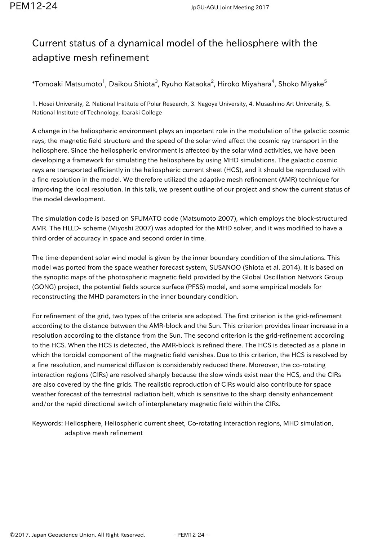## Current status of a dynamical model of the heliosphere with the adaptive mesh refinement

 $^\ast$ Tomoaki Matsumoto $^1$ , Daikou Shiota $^3$ , Ryuho Kataoka $^2$ , Hiroko Miyahara $^4$ , Shoko Miyake $^5$ 

1. Hosei University, 2. National Institute of Polar Research, 3. Nagoya University, 4. Musashino Art University, 5. National Institute of Technology, Ibaraki College

A change in the heliospheric environment plays an important role in the modulation of the galactic cosmic rays; the magnetic field structure and the speed of the solar wind affect the cosmic ray transport in the heliosphere. Since the heliospheric environment is affected by the solar wind activities, we have been developing a framework for simulating the heliosphere by using MHD simulations. The galactic cosmic rays are transported efficiently in the heliospheric current sheet (HCS), and it should be reproduced with a fine resolution in the model. We therefore utilized the adaptive mesh refinement (AMR) technique for improving the local resolution. In this talk, we present outline of our project and show the current status of the model development.

The simulation code is based on SFUMATO code (Matsumoto 2007), which employs the block-structured AMR. The HLLD- scheme (Miyoshi 2007) was adopted for the MHD solver, and it was modified to have a third order of accuracy in space and second order in time.

The time-dependent solar wind model is given by the inner boundary condition of the simulations. This model was ported from the space weather forecast system, SUSANOO (Shiota et al. 2014). It is based on the synoptic maps of the photospheric magnetic field provided by the Global Oscillation Network Group (GONG) project, the potential fields source surface (PFSS) model, and some empirical models for reconstructing the MHD parameters in the inner boundary condition.

For refinement of the grid, two types of the criteria are adopted. The first criterion is the grid-refinement according to the distance between the AMR-block and the Sun. This criterion provides linear increase in a resolution according to the distance from the Sun. The second criterion is the grid-refinement according to the HCS. When the HCS is detected, the AMR-block is refined there. The HCS is detected as a plane in which the toroidal component of the magnetic field vanishes. Due to this criterion, the HCS is resolved by a fine resolution, and numerical diffusion is considerably reduced there. Moreover, the co-rotating interaction regions (CIRs) are resolved sharply because the slow winds exist near the HCS, and the CIRs are also covered by the fine grids. The realistic reproduction of CIRs would also contribute for space weather forecast of the terrestrial radiation belt, which is sensitive to the sharp density enhancement and/or the rapid directional switch of interplanetary magnetic field within the CIRs.

Keywords: Heliosphere, Heliospheric current sheet, Co-rotating interaction regions, MHD simulation, adaptive mesh refinement